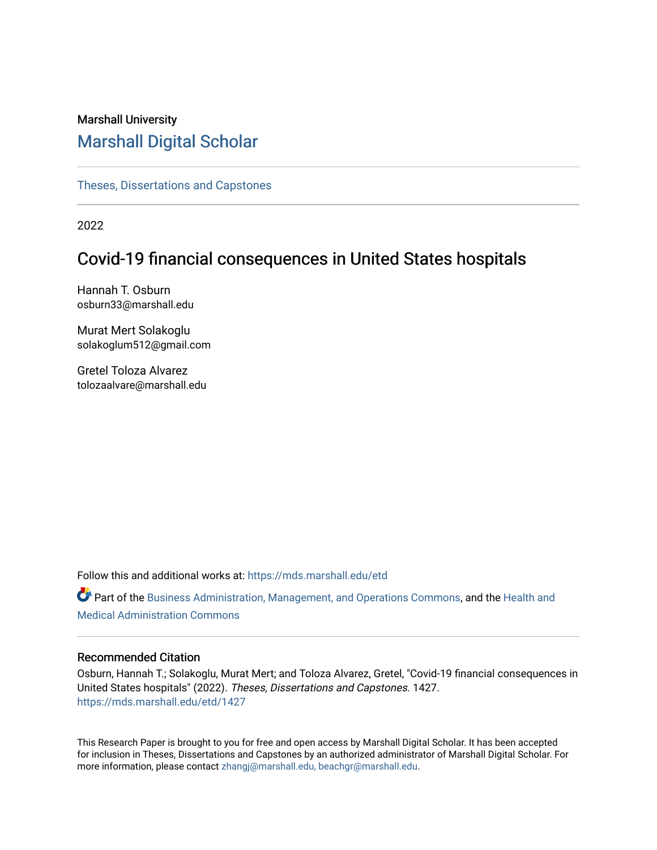## Marshall University [Marshall Digital Scholar](https://mds.marshall.edu/)

[Theses, Dissertations and Capstones](https://mds.marshall.edu/etd)

2022

# Covid-19 financial consequences in United States hospitals

Hannah T. Osburn osburn33@marshall.edu

Murat Mert Solakoglu solakoglum512@gmail.com

Gretel Toloza Alvarez tolozaalvare@marshall.edu

Follow this and additional works at: [https://mds.marshall.edu/etd](https://mds.marshall.edu/etd?utm_source=mds.marshall.edu%2Fetd%2F1427&utm_medium=PDF&utm_campaign=PDFCoverPages)

Part of the [Business Administration, Management, and Operations Commons](https://network.bepress.com/hgg/discipline/623?utm_source=mds.marshall.edu%2Fetd%2F1427&utm_medium=PDF&utm_campaign=PDFCoverPages), and the [Health and](https://network.bepress.com/hgg/discipline/663?utm_source=mds.marshall.edu%2Fetd%2F1427&utm_medium=PDF&utm_campaign=PDFCoverPages)  [Medical Administration Commons](https://network.bepress.com/hgg/discipline/663?utm_source=mds.marshall.edu%2Fetd%2F1427&utm_medium=PDF&utm_campaign=PDFCoverPages) 

### Recommended Citation

Osburn, Hannah T.; Solakoglu, Murat Mert; and Toloza Alvarez, Gretel, "Covid-19 financial consequences in United States hospitals" (2022). Theses, Dissertations and Capstones. 1427. [https://mds.marshall.edu/etd/1427](https://mds.marshall.edu/etd/1427?utm_source=mds.marshall.edu%2Fetd%2F1427&utm_medium=PDF&utm_campaign=PDFCoverPages) 

This Research Paper is brought to you for free and open access by Marshall Digital Scholar. It has been accepted for inclusion in Theses, Dissertations and Capstones by an authorized administrator of Marshall Digital Scholar. For more information, please contact [zhangj@marshall.edu, beachgr@marshall.edu](mailto:zhangj@marshall.edu,%20beachgr@marshall.edu).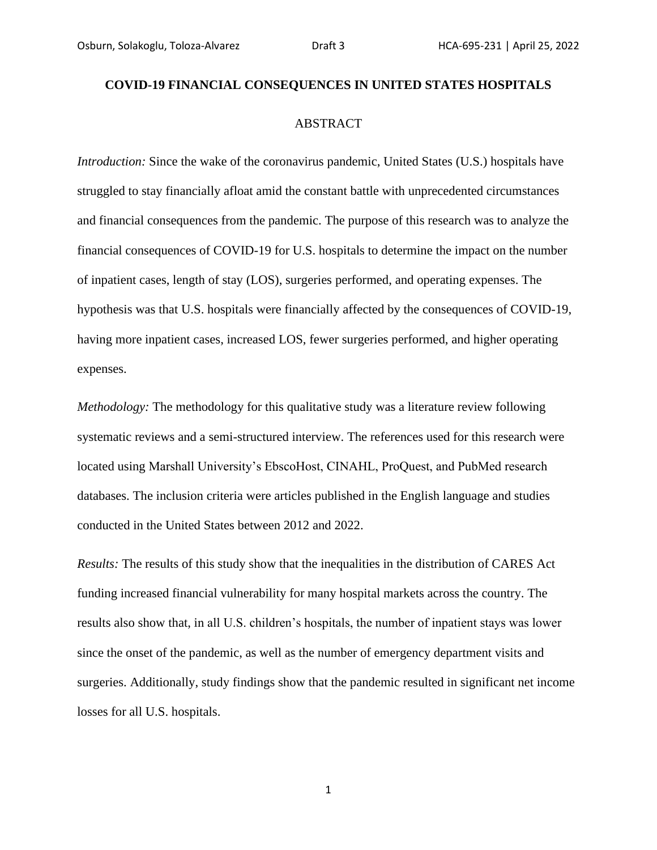# **COVID-19 FINANCIAL CONSEQUENCES IN UNITED STATES HOSPITALS** ABSTRACT

*Introduction:* Since the wake of the coronavirus pandemic, United States (U.S.) hospitals have struggled to stay financially afloat amid the constant battle with unprecedented circumstances and financial consequences from the pandemic. The purpose of this research was to analyze the financial consequences of COVID-19 for U.S. hospitals to determine the impact on the number of inpatient cases, length of stay (LOS), surgeries performed, and operating expenses. The hypothesis was that U.S. hospitals were financially affected by the consequences of COVID-19, having more inpatient cases, increased LOS, fewer surgeries performed, and higher operating expenses.

*Methodology:* The methodology for this qualitative study was a literature review following systematic reviews and a semi-structured interview. The references used for this research were located using Marshall University's EbscoHost, CINAHL, ProQuest, and PubMed research databases. The inclusion criteria were articles published in the English language and studies conducted in the United States between 2012 and 2022.

*Results:* The results of this study show that the inequalities in the distribution of CARES Act funding increased financial vulnerability for many hospital markets across the country. The results also show that, in all U.S. children's hospitals, the number of inpatient stays was lower since the onset of the pandemic, as well as the number of emergency department visits and surgeries. Additionally, study findings show that the pandemic resulted in significant net income losses for all U.S. hospitals.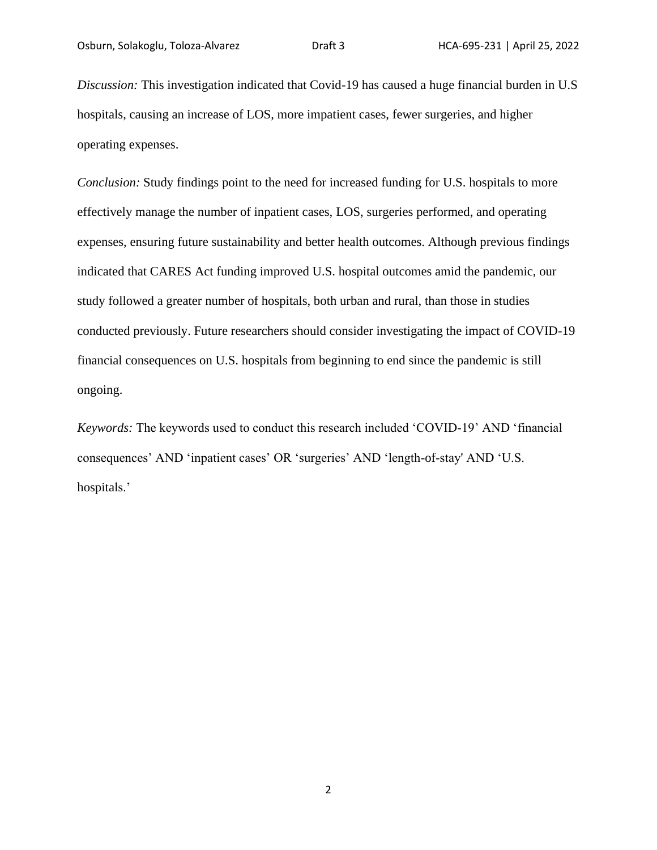*Discussion:* This investigation indicated that Covid-19 has caused a huge financial burden in U.S hospitals, causing an increase of LOS, more impatient cases, fewer surgeries, and higher operating expenses.

*Conclusion:* Study findings point to the need for increased funding for U.S. hospitals to more effectively manage the number of inpatient cases, LOS, surgeries performed, and operating expenses, ensuring future sustainability and better health outcomes. Although previous findings indicated that CARES Act funding improved U.S. hospital outcomes amid the pandemic, our study followed a greater number of hospitals, both urban and rural, than those in studies conducted previously. Future researchers should consider investigating the impact of COVID-19 financial consequences on U.S. hospitals from beginning to end since the pandemic is still ongoing.

*Keywords:* The keywords used to conduct this research included 'COVID-19' AND 'financial consequences' AND 'inpatient cases' OR 'surgeries' AND 'length-of-stay' AND 'U.S. hospitals.'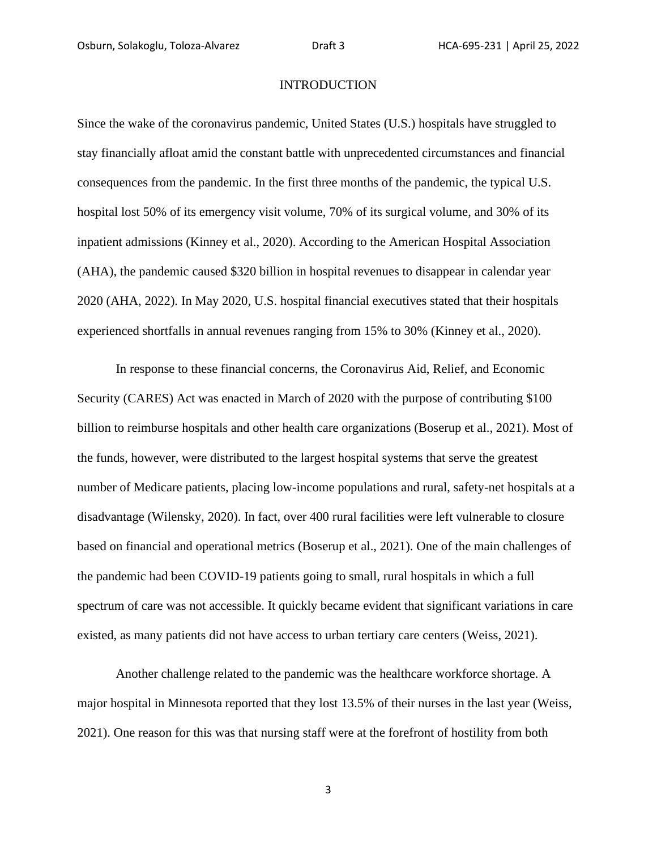### **INTRODUCTION**

Since the wake of the coronavirus pandemic, United States (U.S.) hospitals have struggled to stay financially afloat amid the constant battle with unprecedented circumstances and financial consequences from the pandemic. In the first three months of the pandemic, the typical U.S. hospital lost 50% of its emergency visit volume, 70% of its surgical volume, and 30% of its inpatient admissions (Kinney et al., 2020). According to the American Hospital Association (AHA), the pandemic caused \$320 billion in hospital revenues to disappear in calendar year 2020 (AHA, 2022). In May 2020, U.S. hospital financial executives stated that their hospitals experienced shortfalls in annual revenues ranging from 15% to 30% (Kinney et al., 2020).

In response to these financial concerns, the Coronavirus Aid, Relief, and Economic Security (CARES) Act was enacted in March of 2020 with the purpose of contributing \$100 billion to reimburse hospitals and other health care organizations (Boserup et al., 2021). Most of the funds, however, were distributed to the largest hospital systems that serve the greatest number of Medicare patients, placing low-income populations and rural, safety-net hospitals at a disadvantage (Wilensky, 2020). In fact, over 400 rural facilities were left vulnerable to closure based on financial and operational metrics (Boserup et al., 2021). One of the main challenges of the pandemic had been COVID-19 patients going to small, rural hospitals in which a full spectrum of care was not accessible. It quickly became evident that significant variations in care existed, as many patients did not have access to urban tertiary care centers (Weiss, 2021).

Another challenge related to the pandemic was the healthcare workforce shortage. A major hospital in Minnesota reported that they lost 13.5% of their nurses in the last year (Weiss, 2021). One reason for this was that nursing staff were at the forefront of hostility from both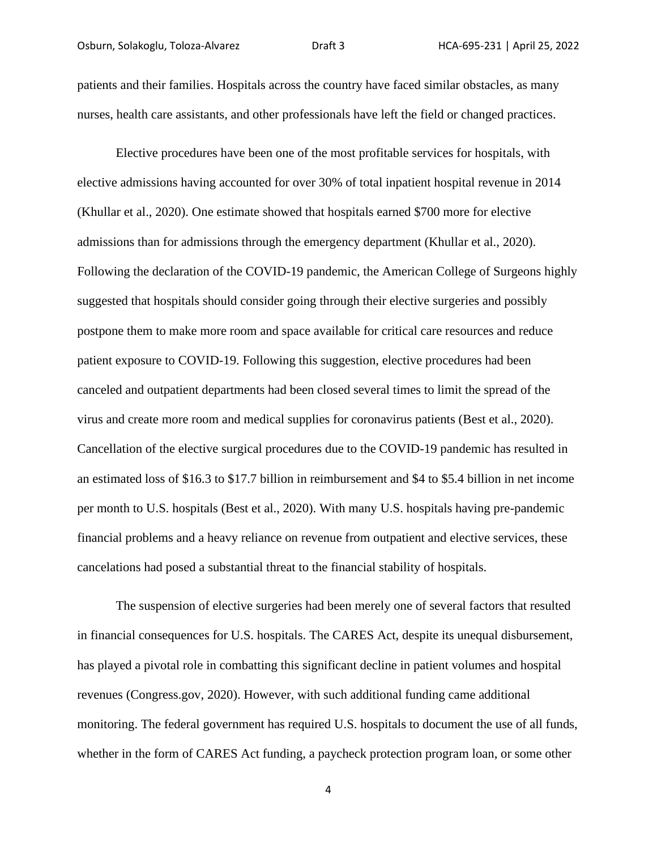patients and their families. Hospitals across the country have faced similar obstacles, as many nurses, health care assistants, and other professionals have left the field or changed practices.

Elective procedures have been one of the most profitable services for hospitals, with elective admissions having accounted for over 30% of total inpatient hospital revenue in 2014 (Khullar et al., 2020). One estimate showed that hospitals earned \$700 more for elective admissions than for admissions through the emergency department (Khullar et al., 2020). Following the declaration of the COVID-19 pandemic, the American College of Surgeons highly suggested that hospitals should consider going through their elective surgeries and possibly postpone them to make more room and space available for critical care resources and reduce patient exposure to COVID-19. Following this suggestion, elective procedures had been canceled and outpatient departments had been closed several times to limit the spread of the virus and create more room and medical supplies for coronavirus patients (Best et al., 2020). Cancellation of the elective surgical procedures due to the COVID-19 pandemic has resulted in an estimated loss of \$16.3 to \$17.7 billion in reimbursement and \$4 to \$5.4 billion in net income per month to U.S. hospitals (Best et al., 2020). With many U.S. hospitals having pre-pandemic financial problems and a heavy reliance on revenue from outpatient and elective services, these cancelations had posed a substantial threat to the financial stability of hospitals.

The suspension of elective surgeries had been merely one of several factors that resulted in financial consequences for U.S. hospitals. The CARES Act, despite its unequal disbursement, has played a pivotal role in combatting this significant decline in patient volumes and hospital revenues (Congress.gov, 2020). However, with such additional funding came additional monitoring. The federal government has required U.S. hospitals to document the use of all funds, whether in the form of CARES Act funding, a paycheck protection program loan, or some other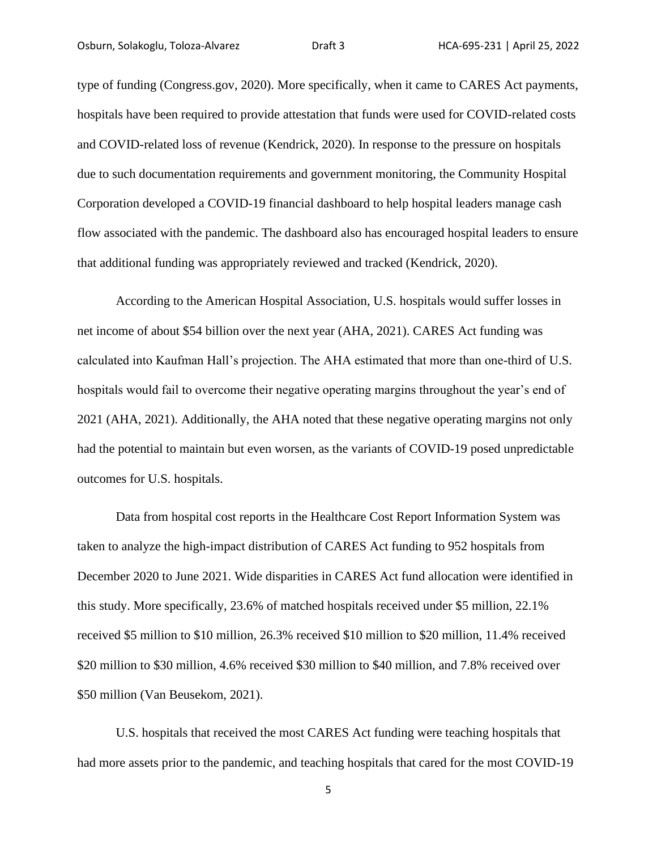type of funding (Congress.gov, 2020). More specifically, when it came to CARES Act payments, hospitals have been required to provide attestation that funds were used for COVID-related costs and COVID-related loss of revenue (Kendrick, 2020). In response to the pressure on hospitals due to such documentation requirements and government monitoring, the Community Hospital Corporation developed a COVID-19 financial dashboard to help hospital leaders manage cash flow associated with the pandemic. The dashboard also has encouraged hospital leaders to ensure that additional funding was appropriately reviewed and tracked (Kendrick, 2020).

According to the American Hospital Association, U.S. hospitals would suffer losses in net income of about \$54 billion over the next year (AHA, 2021). CARES Act funding was calculated into Kaufman Hall's projection. The AHA estimated that more than one-third of U.S. hospitals would fail to overcome their negative operating margins throughout the year's end of 2021 (AHA, 2021). Additionally, the AHA noted that these negative operating margins not only had the potential to maintain but even worsen, as the variants of COVID-19 posed unpredictable outcomes for U.S. hospitals.

Data from hospital cost reports in the Healthcare Cost Report Information System was taken to analyze the high-impact distribution of CARES Act funding to 952 hospitals from December 2020 to June 2021. Wide disparities in CARES Act fund allocation were identified in this study. More specifically, 23.6% of matched hospitals received under \$5 million, 22.1% received \$5 million to \$10 million, 26.3% received \$10 million to \$20 million, 11.4% received \$20 million to \$30 million, 4.6% received \$30 million to \$40 million, and 7.8% received over \$50 million (Van Beusekom, 2021).

U.S. hospitals that received the most CARES Act funding were teaching hospitals that had more assets prior to the pandemic, and teaching hospitals that cared for the most COVID-19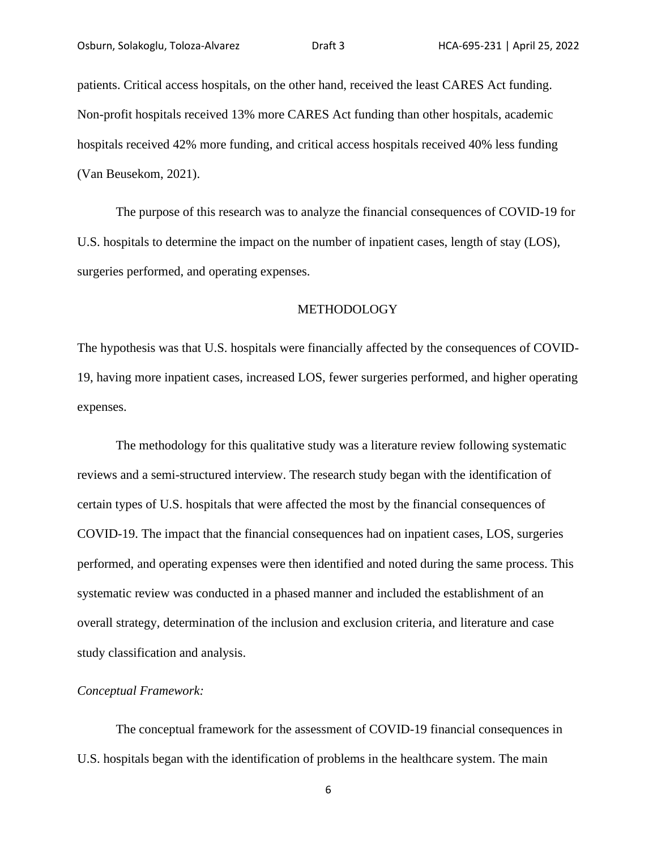patients. Critical access hospitals, on the other hand, received the least CARES Act funding. Non-profit hospitals received 13% more CARES Act funding than other hospitals, academic hospitals received 42% more funding, and critical access hospitals received 40% less funding (Van Beusekom, 2021).

The purpose of this research was to analyze the financial consequences of COVID-19 for U.S. hospitals to determine the impact on the number of inpatient cases, length of stay (LOS), surgeries performed, and operating expenses.

#### METHODOLOGY

The hypothesis was that U.S. hospitals were financially affected by the consequences of COVID-19, having more inpatient cases, increased LOS, fewer surgeries performed, and higher operating expenses.

The methodology for this qualitative study was a literature review following systematic reviews and a semi-structured interview. The research study began with the identification of certain types of U.S. hospitals that were affected the most by the financial consequences of COVID-19. The impact that the financial consequences had on inpatient cases, LOS, surgeries performed, and operating expenses were then identified and noted during the same process. This systematic review was conducted in a phased manner and included the establishment of an overall strategy, determination of the inclusion and exclusion criteria, and literature and case study classification and analysis.

#### *Conceptual Framework:*

 The conceptual framework for the assessment of COVID-19 financial consequences in U.S. hospitals began with the identification of problems in the healthcare system. The main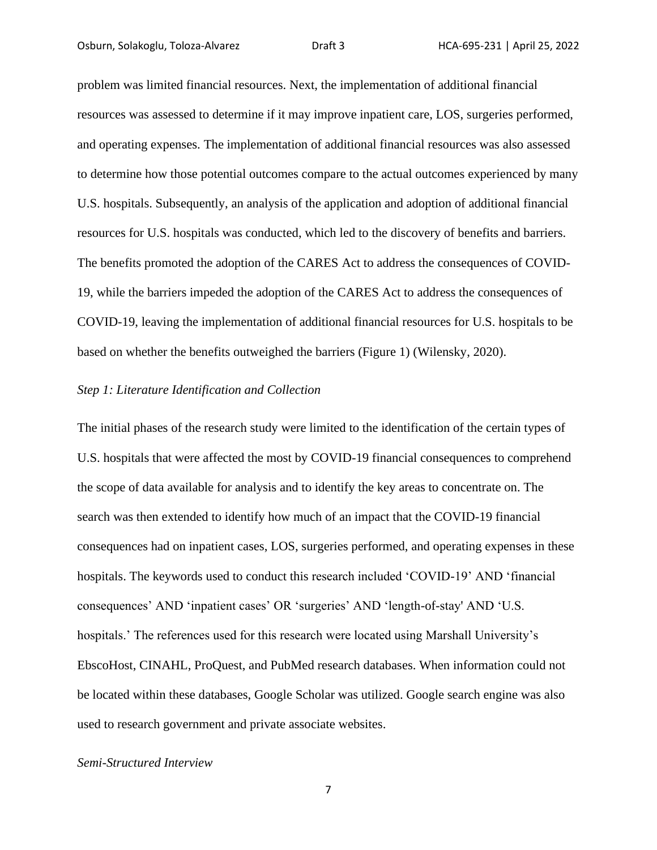problem was limited financial resources. Next, the implementation of additional financial resources was assessed to determine if it may improve inpatient care, LOS, surgeries performed, and operating expenses. The implementation of additional financial resources was also assessed to determine how those potential outcomes compare to the actual outcomes experienced by many U.S. hospitals. Subsequently, an analysis of the application and adoption of additional financial resources for U.S. hospitals was conducted, which led to the discovery of benefits and barriers. The benefits promoted the adoption of the CARES Act to address the consequences of COVID-19, while the barriers impeded the adoption of the CARES Act to address the consequences of COVID-19, leaving the implementation of additional financial resources for U.S. hospitals to be based on whether the benefits outweighed the barriers (Figure 1) (Wilensky, 2020).

### *Step 1: Literature Identification and Collection*

The initial phases of the research study were limited to the identification of the certain types of U.S. hospitals that were affected the most by COVID-19 financial consequences to comprehend the scope of data available for analysis and to identify the key areas to concentrate on. The search was then extended to identify how much of an impact that the COVID-19 financial consequences had on inpatient cases, LOS, surgeries performed, and operating expenses in these hospitals. The keywords used to conduct this research included 'COVID-19' AND 'financial consequences' AND 'inpatient cases' OR 'surgeries' AND 'length-of-stay' AND 'U.S. hospitals.' The references used for this research were located using Marshall University's EbscoHost, CINAHL, ProQuest, and PubMed research databases. When information could not be located within these databases, Google Scholar was utilized. Google search engine was also used to research government and private associate websites.

### *Semi-Structured Interview*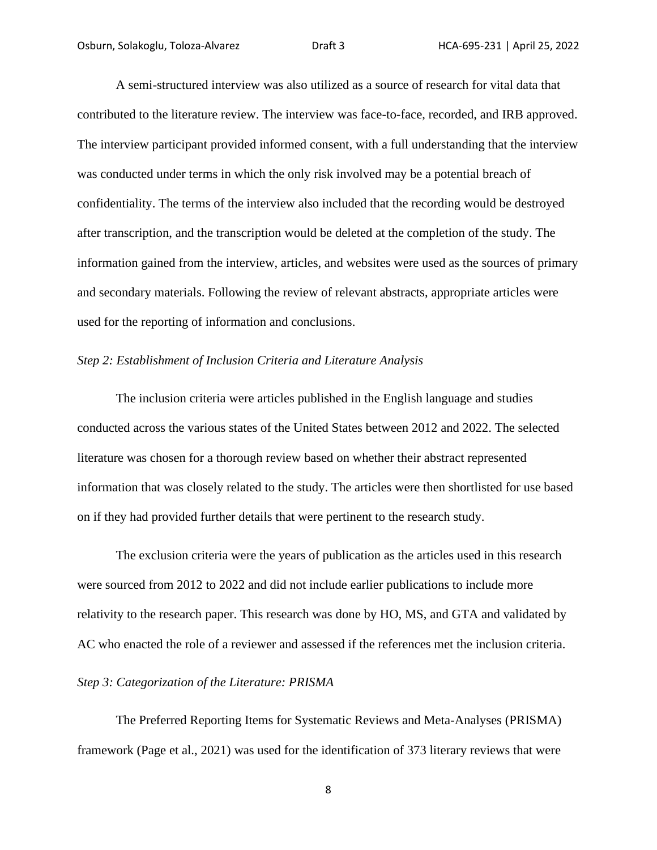A semi-structured interview was also utilized as a source of research for vital data that contributed to the literature review. The interview was face-to-face, recorded, and IRB approved. The interview participant provided informed consent, with a full understanding that the interview was conducted under terms in which the only risk involved may be a potential breach of confidentiality. The terms of the interview also included that the recording would be destroyed after transcription, and the transcription would be deleted at the completion of the study. The information gained from the interview, articles, and websites were used as the sources of primary and secondary materials. Following the review of relevant abstracts, appropriate articles were used for the reporting of information and conclusions.

### *Step 2: Establishment of Inclusion Criteria and Literature Analysis*

The inclusion criteria were articles published in the English language and studies conducted across the various states of the United States between 2012 and 2022. The selected literature was chosen for a thorough review based on whether their abstract represented information that was closely related to the study. The articles were then shortlisted for use based on if they had provided further details that were pertinent to the research study.

The exclusion criteria were the years of publication as the articles used in this research were sourced from 2012 to 2022 and did not include earlier publications to include more relativity to the research paper. This research was done by HO, MS, and GTA and validated by AC who enacted the role of a reviewer and assessed if the references met the inclusion criteria.

#### *Step 3: Categorization of the Literature: PRISMA*

The Preferred Reporting Items for Systematic Reviews and Meta-Analyses (PRISMA) framework (Page et al., 2021) was used for the identification of 373 literary reviews that were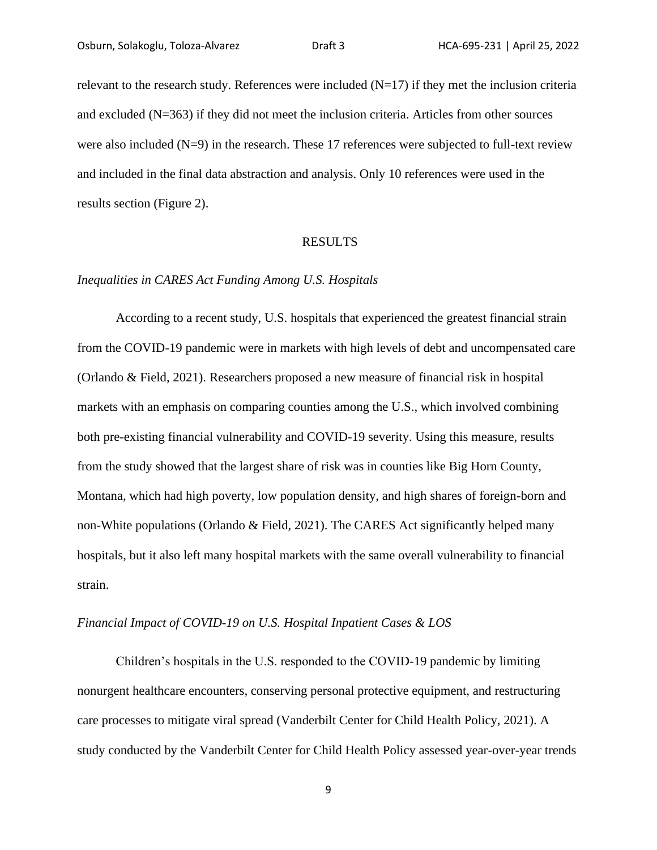relevant to the research study. References were included  $(N=17)$  if they met the inclusion criteria and excluded (N=363) if they did not meet the inclusion criteria. Articles from other sources were also included  $(N=9)$  in the research. These 17 references were subjected to full-text review and included in the final data abstraction and analysis. Only 10 references were used in the results section (Figure 2).

#### RESULTS

### *Inequalities in CARES Act Funding Among U.S. Hospitals*

According to a recent study, U.S. hospitals that experienced the greatest financial strain from the COVID-19 pandemic were in markets with high levels of debt and uncompensated care (Orlando & Field, 2021). Researchers proposed a new measure of financial risk in hospital markets with an emphasis on comparing counties among the U.S., which involved combining both pre-existing financial vulnerability and COVID-19 severity. Using this measure, results from the study showed that the largest share of risk was in counties like Big Horn County, Montana, which had high poverty, low population density, and high shares of foreign-born and non-White populations (Orlando & Field, 2021). The CARES Act significantly helped many hospitals, but it also left many hospital markets with the same overall vulnerability to financial strain.

### *Financial Impact of COVID-19 on U.S. Hospital Inpatient Cases & LOS*

Children's hospitals in the U.S. responded to the COVID-19 pandemic by limiting nonurgent healthcare encounters, conserving personal protective equipment, and restructuring care processes to mitigate viral spread (Vanderbilt Center for Child Health Policy, 2021). A study conducted by the Vanderbilt Center for Child Health Policy assessed year-over-year trends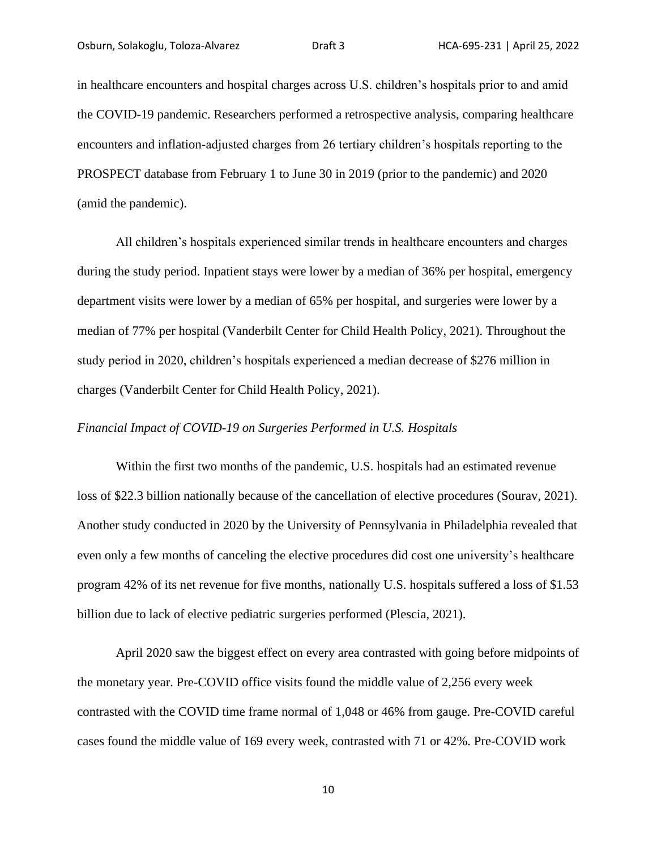in healthcare encounters and hospital charges across U.S. children's hospitals prior to and amid the COVID-19 pandemic. Researchers performed a retrospective analysis, comparing healthcare encounters and inflation-adjusted charges from 26 tertiary children's hospitals reporting to the PROSPECT database from February 1 to June 30 in 2019 (prior to the pandemic) and 2020 (amid the pandemic).

All children's hospitals experienced similar trends in healthcare encounters and charges during the study period. Inpatient stays were lower by a median of 36% per hospital, emergency department visits were lower by a median of 65% per hospital, and surgeries were lower by a median of 77% per hospital (Vanderbilt Center for Child Health Policy, 2021). Throughout the study period in 2020, children's hospitals experienced a median decrease of \$276 million in charges (Vanderbilt Center for Child Health Policy, 2021).

### *Financial Impact of COVID-19 on Surgeries Performed in U.S. Hospitals*

Within the first two months of the pandemic, U.S. hospitals had an estimated revenue loss of \$22.3 billion nationally because of the cancellation of elective procedures (Sourav, 2021). Another study conducted in 2020 by the University of Pennsylvania in Philadelphia revealed that even only a few months of canceling the elective procedures did cost one university's healthcare program 42% of its net revenue for five months, nationally U.S. hospitals suffered a loss of \$1.53 billion due to lack of elective pediatric surgeries performed (Plescia, 2021).

April 2020 saw the biggest effect on every area contrasted with going before midpoints of the monetary year. Pre-COVID office visits found the middle value of 2,256 every week contrasted with the COVID time frame normal of 1,048 or 46% from gauge. Pre-COVID careful cases found the middle value of 169 every week, contrasted with 71 or 42%. Pre-COVID work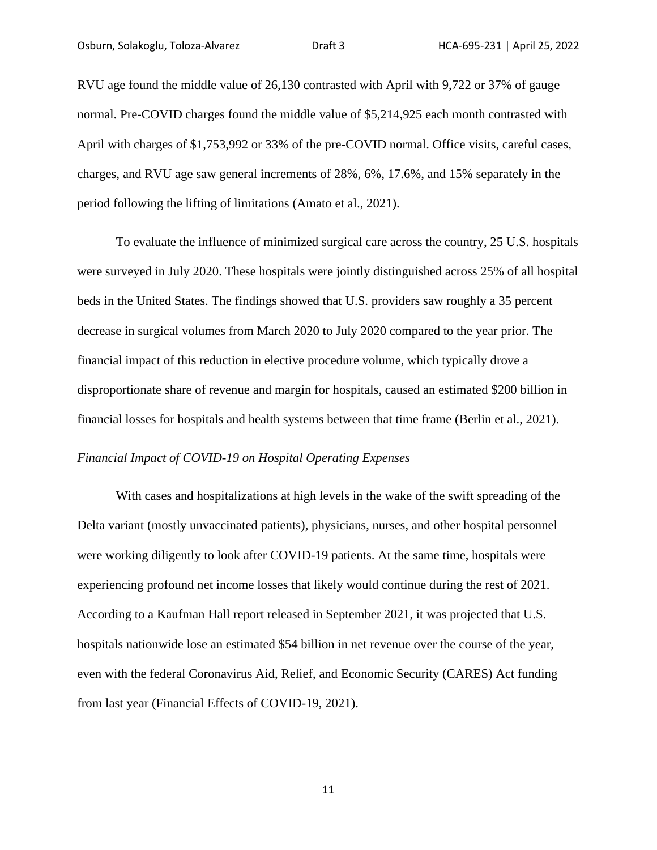RVU age found the middle value of 26,130 contrasted with April with 9,722 or 37% of gauge normal. Pre-COVID charges found the middle value of \$5,214,925 each month contrasted with April with charges of \$1,753,992 or 33% of the pre-COVID normal. Office visits, careful cases, charges, and RVU age saw general increments of 28%, 6%, 17.6%, and 15% separately in the period following the lifting of limitations (Amato et al., 2021).

To evaluate the influence of minimized surgical care across the country, 25 U.S. hospitals were surveyed in July 2020. These hospitals were jointly distinguished across 25% of all hospital beds in the United States. The findings showed that U.S. providers saw roughly a 35 percent decrease in surgical volumes from March 2020 to July 2020 compared to the year prior. The financial impact of this reduction in elective procedure volume, which typically drove a disproportionate share of revenue and margin for hospitals, caused an estimated \$200 billion in financial losses for hospitals and health systems between that time frame (Berlin et al., 2021).

### *Financial Impact of COVID-19 on Hospital Operating Expenses*

With cases and hospitalizations at high levels in the wake of the swift spreading of the Delta variant (mostly unvaccinated patients), physicians, nurses, and other hospital personnel were working diligently to look after COVID-19 patients. At the same time, hospitals were experiencing profound net income losses that likely would continue during the rest of 2021. According to a Kaufman Hall report released in September 2021, it was projected that U.S. hospitals nationwide lose an estimated \$54 billion in net revenue over the course of the year, even with the federal Coronavirus Aid, Relief, and Economic Security (CARES) Act funding from last year (Financial Effects of COVID-19, 2021).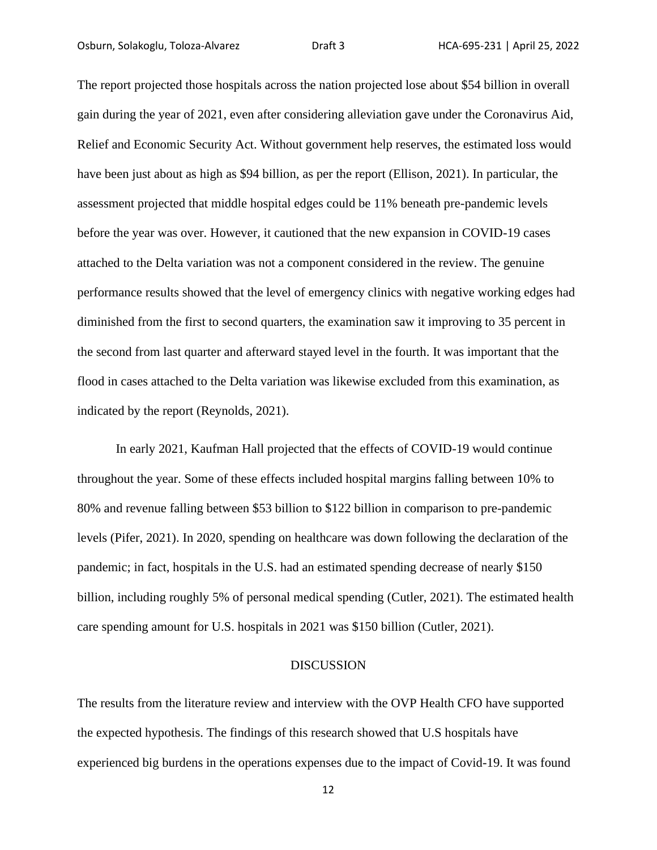The report projected those hospitals across the nation projected lose about \$54 billion in overall gain during the year of 2021, even after considering alleviation gave under the Coronavirus Aid, Relief and Economic Security Act. Without government help reserves, the estimated loss would have been just about as high as \$94 billion, as per the report (Ellison, 2021). In particular, the assessment projected that middle hospital edges could be 11% beneath pre-pandemic levels before the year was over. However, it cautioned that the new expansion in COVID-19 cases attached to the Delta variation was not a component considered in the review. The genuine performance results showed that the level of emergency clinics with negative working edges had diminished from the first to second quarters, the examination saw it improving to 35 percent in the second from last quarter and afterward stayed level in the fourth. It was important that the flood in cases attached to the Delta variation was likewise excluded from this examination, as indicated by the report (Reynolds, 2021).

In early 2021, Kaufman Hall projected that the effects of COVID-19 would continue throughout the year. Some of these effects included hospital margins falling between 10% to 80% and revenue falling between \$53 billion to \$122 billion in comparison to pre-pandemic levels (Pifer, 2021). In 2020, spending on healthcare was down following the declaration of the pandemic; in fact, hospitals in the U.S. had an estimated spending decrease of nearly \$150 billion, including roughly 5% of personal medical spending (Cutler, 2021). The estimated health care spending amount for U.S. hospitals in 2021 was \$150 billion (Cutler, 2021).

#### DISCUSSION

The results from the literature review and interview with the OVP Health CFO have supported the expected hypothesis. The findings of this research showed that U.S hospitals have experienced big burdens in the operations expenses due to the impact of Covid-19. It was found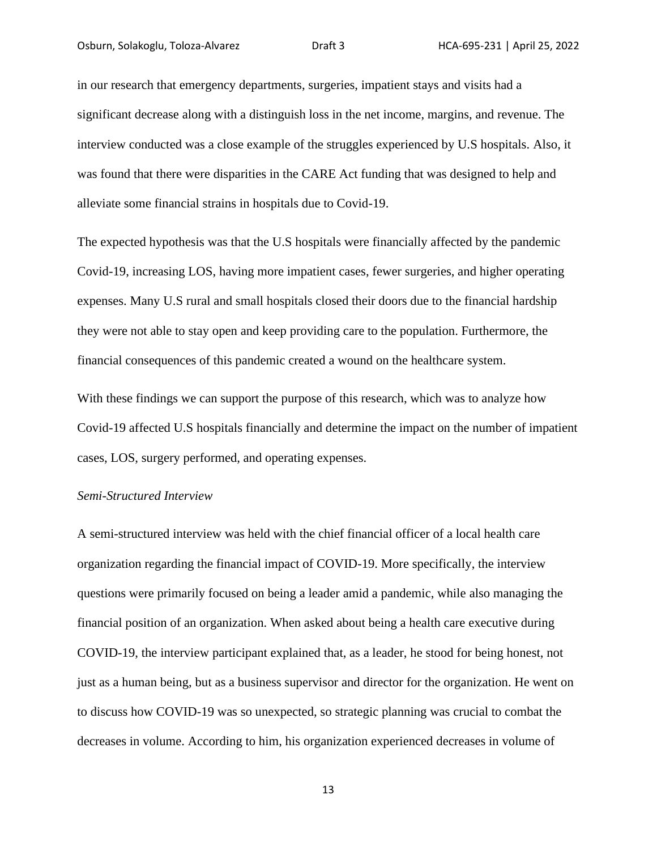in our research that emergency departments, surgeries, impatient stays and visits had a significant decrease along with a distinguish loss in the net income, margins, and revenue. The interview conducted was a close example of the struggles experienced by U.S hospitals. Also, it was found that there were disparities in the CARE Act funding that was designed to help and alleviate some financial strains in hospitals due to Covid-19.

The expected hypothesis was that the U.S hospitals were financially affected by the pandemic Covid-19, increasing LOS, having more impatient cases, fewer surgeries, and higher operating expenses. Many U.S rural and small hospitals closed their doors due to the financial hardship they were not able to stay open and keep providing care to the population. Furthermore, the financial consequences of this pandemic created a wound on the healthcare system.

With these findings we can support the purpose of this research, which was to analyze how Covid-19 affected U.S hospitals financially and determine the impact on the number of impatient cases, LOS, surgery performed, and operating expenses.

### *Semi-Structured Interview*

A semi-structured interview was held with the chief financial officer of a local health care organization regarding the financial impact of COVID-19. More specifically, the interview questions were primarily focused on being a leader amid a pandemic, while also managing the financial position of an organization. When asked about being a health care executive during COVID-19, the interview participant explained that, as a leader, he stood for being honest, not just as a human being, but as a business supervisor and director for the organization. He went on to discuss how COVID-19 was so unexpected, so strategic planning was crucial to combat the decreases in volume. According to him, his organization experienced decreases in volume of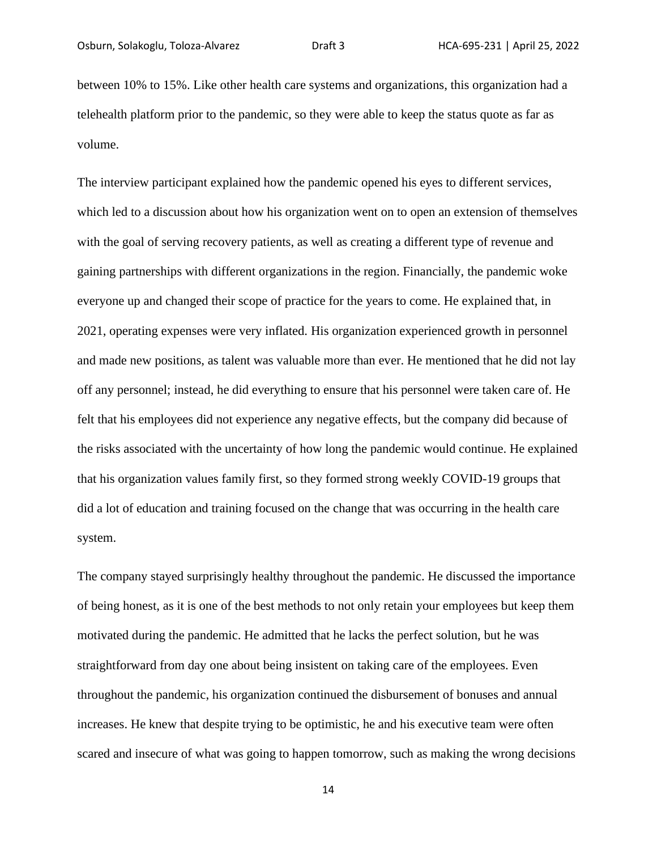between 10% to 15%. Like other health care systems and organizations, this organization had a telehealth platform prior to the pandemic, so they were able to keep the status quote as far as volume.

The interview participant explained how the pandemic opened his eyes to different services, which led to a discussion about how his organization went on to open an extension of themselves with the goal of serving recovery patients, as well as creating a different type of revenue and gaining partnerships with different organizations in the region. Financially, the pandemic woke everyone up and changed their scope of practice for the years to come. He explained that, in 2021, operating expenses were very inflated. His organization experienced growth in personnel and made new positions, as talent was valuable more than ever. He mentioned that he did not lay off any personnel; instead, he did everything to ensure that his personnel were taken care of. He felt that his employees did not experience any negative effects, but the company did because of the risks associated with the uncertainty of how long the pandemic would continue. He explained that his organization values family first, so they formed strong weekly COVID-19 groups that did a lot of education and training focused on the change that was occurring in the health care system.

The company stayed surprisingly healthy throughout the pandemic. He discussed the importance of being honest, as it is one of the best methods to not only retain your employees but keep them motivated during the pandemic. He admitted that he lacks the perfect solution, but he was straightforward from day one about being insistent on taking care of the employees. Even throughout the pandemic, his organization continued the disbursement of bonuses and annual increases. He knew that despite trying to be optimistic, he and his executive team were often scared and insecure of what was going to happen tomorrow, such as making the wrong decisions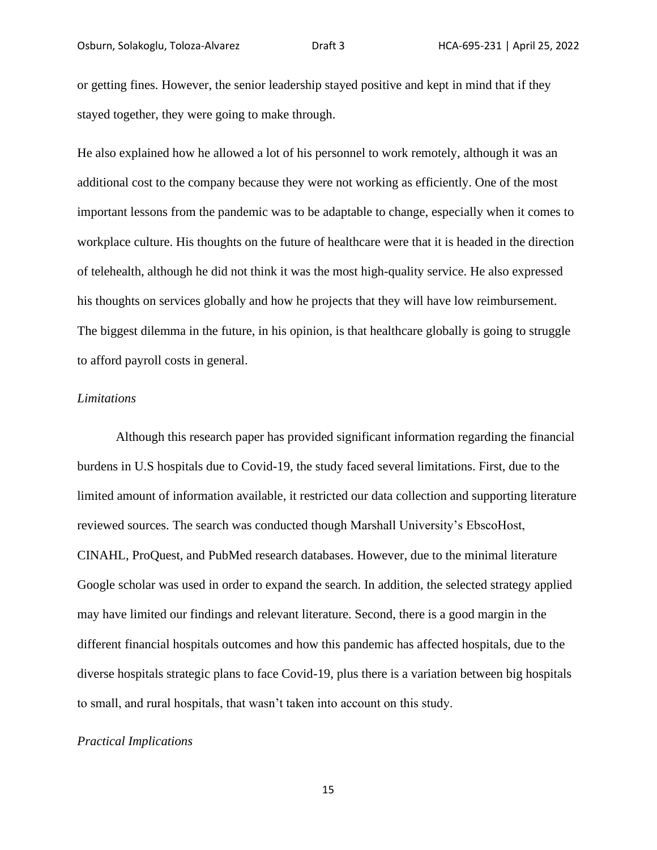or getting fines. However, the senior leadership stayed positive and kept in mind that if they stayed together, they were going to make through.

He also explained how he allowed a lot of his personnel to work remotely, although it was an additional cost to the company because they were not working as efficiently. One of the most important lessons from the pandemic was to be adaptable to change, especially when it comes to workplace culture. His thoughts on the future of healthcare were that it is headed in the direction of telehealth, although he did not think it was the most high-quality service. He also expressed his thoughts on services globally and how he projects that they will have low reimbursement. The biggest dilemma in the future, in his opinion, is that healthcare globally is going to struggle to afford payroll costs in general.

### *Limitations*

Although this research paper has provided significant information regarding the financial burdens in U.S hospitals due to Covid-19, the study faced several limitations. First, due to the limited amount of information available, it restricted our data collection and supporting literature reviewed sources. The search was conducted though Marshall University's EbscoHost, CINAHL, ProQuest, and PubMed research databases. However, due to the minimal literature Google scholar was used in order to expand the search. In addition, the selected strategy applied may have limited our findings and relevant literature. Second, there is a good margin in the different financial hospitals outcomes and how this pandemic has affected hospitals, due to the diverse hospitals strategic plans to face Covid-19, plus there is a variation between big hospitals to small, and rural hospitals, that wasn't taken into account on this study.

### *Practical Implications*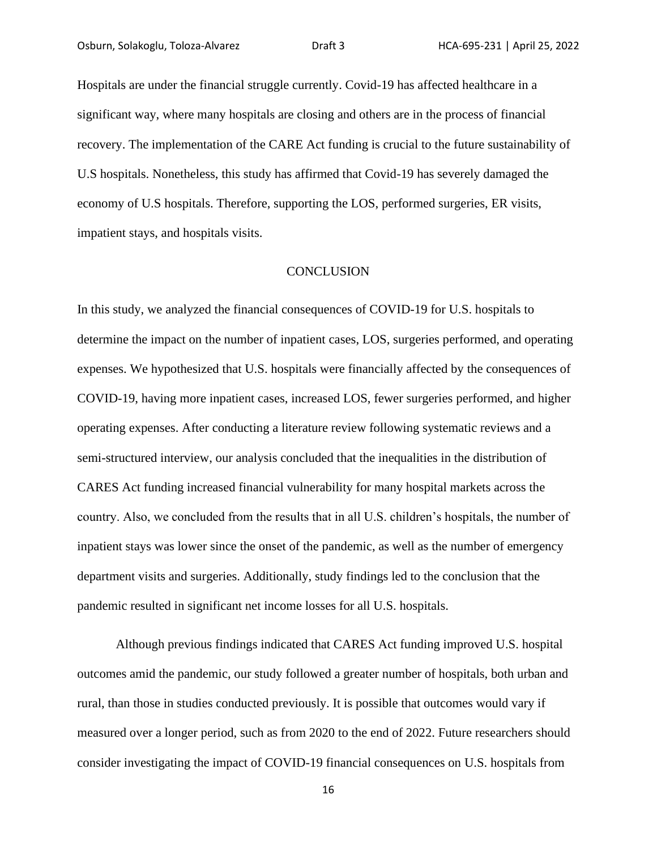Hospitals are under the financial struggle currently. Covid-19 has affected healthcare in a significant way, where many hospitals are closing and others are in the process of financial recovery. The implementation of the CARE Act funding is crucial to the future sustainability of U.S hospitals. Nonetheless, this study has affirmed that Covid-19 has severely damaged the economy of U.S hospitals. Therefore, supporting the LOS, performed surgeries, ER visits, impatient stays, and hospitals visits.

### **CONCLUSION**

In this study, we analyzed the financial consequences of COVID-19 for U.S. hospitals to determine the impact on the number of inpatient cases, LOS, surgeries performed, and operating expenses. We hypothesized that U.S. hospitals were financially affected by the consequences of COVID-19, having more inpatient cases, increased LOS, fewer surgeries performed, and higher operating expenses. After conducting a literature review following systematic reviews and a semi-structured interview, our analysis concluded that the inequalities in the distribution of CARES Act funding increased financial vulnerability for many hospital markets across the country. Also, we concluded from the results that in all U.S. children's hospitals, the number of inpatient stays was lower since the onset of the pandemic, as well as the number of emergency department visits and surgeries. Additionally, study findings led to the conclusion that the pandemic resulted in significant net income losses for all U.S. hospitals.

Although previous findings indicated that CARES Act funding improved U.S. hospital outcomes amid the pandemic, our study followed a greater number of hospitals, both urban and rural, than those in studies conducted previously. It is possible that outcomes would vary if measured over a longer period, such as from 2020 to the end of 2022. Future researchers should consider investigating the impact of COVID-19 financial consequences on U.S. hospitals from